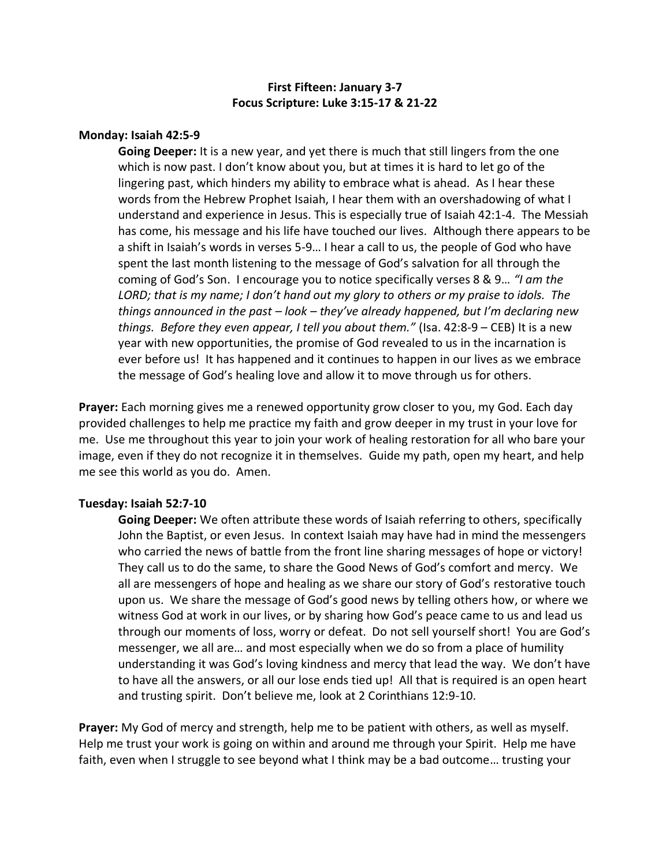# **First Fifteen: January 3-7 Focus Scripture: Luke 3:15-17 & 21-22**

### **Monday: Isaiah 42:5-9**

**Going Deeper:** It is a new year, and yet there is much that still lingers from the one which is now past. I don't know about you, but at times it is hard to let go of the lingering past, which hinders my ability to embrace what is ahead. As I hear these words from the Hebrew Prophet Isaiah, I hear them with an overshadowing of what I understand and experience in Jesus. This is especially true of Isaiah 42:1-4. The Messiah has come, his message and his life have touched our lives. Although there appears to be a shift in Isaiah's words in verses 5-9… I hear a call to us, the people of God who have spent the last month listening to the message of God's salvation for all through the coming of God's Son. I encourage you to notice specifically verses 8 & 9… *"I am the LORD; that is my name; I don't hand out my glory to others or my praise to idols. The things announced in the past – look – they've already happened, but I'm declaring new things. Before they even appear, I tell you about them."* (Isa. 42:8-9 – CEB) It is a new year with new opportunities, the promise of God revealed to us in the incarnation is ever before us! It has happened and it continues to happen in our lives as we embrace the message of God's healing love and allow it to move through us for others.

**Prayer:** Each morning gives me a renewed opportunity grow closer to you, my God. Each day provided challenges to help me practice my faith and grow deeper in my trust in your love for me. Use me throughout this year to join your work of healing restoration for all who bare your image, even if they do not recognize it in themselves. Guide my path, open my heart, and help me see this world as you do. Amen.

#### **Tuesday: Isaiah 52:7-10**

**Going Deeper:** We often attribute these words of Isaiah referring to others, specifically John the Baptist, or even Jesus. In context Isaiah may have had in mind the messengers who carried the news of battle from the front line sharing messages of hope or victory! They call us to do the same, to share the Good News of God's comfort and mercy. We all are messengers of hope and healing as we share our story of God's restorative touch upon us. We share the message of God's good news by telling others how, or where we witness God at work in our lives, or by sharing how God's peace came to us and lead us through our moments of loss, worry or defeat. Do not sell yourself short! You are God's messenger, we all are… and most especially when we do so from a place of humility understanding it was God's loving kindness and mercy that lead the way. We don't have to have all the answers, or all our lose ends tied up! All that is required is an open heart and trusting spirit. Don't believe me, look at 2 Corinthians 12:9-10.

**Prayer:** My God of mercy and strength, help me to be patient with others, as well as myself. Help me trust your work is going on within and around me through your Spirit. Help me have faith, even when I struggle to see beyond what I think may be a bad outcome… trusting your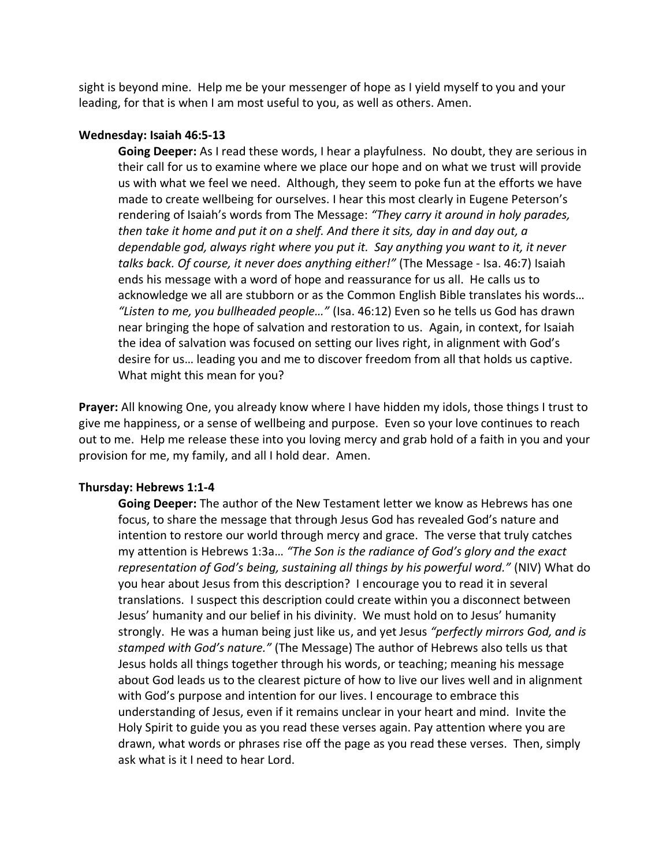sight is beyond mine. Help me be your messenger of hope as I yield myself to you and your leading, for that is when I am most useful to you, as well as others. Amen.

### **Wednesday: Isaiah 46:5-13**

**Going Deeper:** As I read these words, I hear a playfulness. No doubt, they are serious in their call for us to examine where we place our hope and on what we trust will provide us with what we feel we need. Although, they seem to poke fun at the efforts we have made to create wellbeing for ourselves. I hear this most clearly in Eugene Peterson's rendering of Isaiah's words from The Message: *"They carry it around in holy parades, then take it home and put it on a shelf. And there it sits, day in and day out, a dependable god, always right where you put it. Say anything you want to it, it never talks back. Of course, it never does anything either!"* (The Message - Isa. 46:7) Isaiah ends his message with a word of hope and reassurance for us all. He calls us to acknowledge we all are stubborn or as the Common English Bible translates his words… *"Listen to me, you bullheaded people…"* (Isa. 46:12) Even so he tells us God has drawn near bringing the hope of salvation and restoration to us. Again, in context, for Isaiah the idea of salvation was focused on setting our lives right, in alignment with God's desire for us… leading you and me to discover freedom from all that holds us captive. What might this mean for you?

**Prayer:** All knowing One, you already know where I have hidden my idols, those things I trust to give me happiness, or a sense of wellbeing and purpose. Even so your love continues to reach out to me. Help me release these into you loving mercy and grab hold of a faith in you and your provision for me, my family, and all I hold dear. Amen.

#### **Thursday: Hebrews 1:1-4**

**Going Deeper:** The author of the New Testament letter we know as Hebrews has one focus, to share the message that through Jesus God has revealed God's nature and intention to restore our world through mercy and grace. The verse that truly catches my attention is Hebrews 1:3a… *"The Son is the radiance of God's glory and the exact representation of God's being, sustaining all things by his powerful word."* (NIV) What do you hear about Jesus from this description? I encourage you to read it in several translations. I suspect this description could create within you a disconnect between Jesus' humanity and our belief in his divinity. We must hold on to Jesus' humanity strongly. He was a human being just like us, and yet Jesus *"perfectly mirrors God, and is stamped with God's nature."* (The Message) The author of Hebrews also tells us that Jesus holds all things together through his words, or teaching; meaning his message about God leads us to the clearest picture of how to live our lives well and in alignment with God's purpose and intention for our lives. I encourage to embrace this understanding of Jesus, even if it remains unclear in your heart and mind. Invite the Holy Spirit to guide you as you read these verses again. Pay attention where you are drawn, what words or phrases rise off the page as you read these verses. Then, simply ask what is it I need to hear Lord.